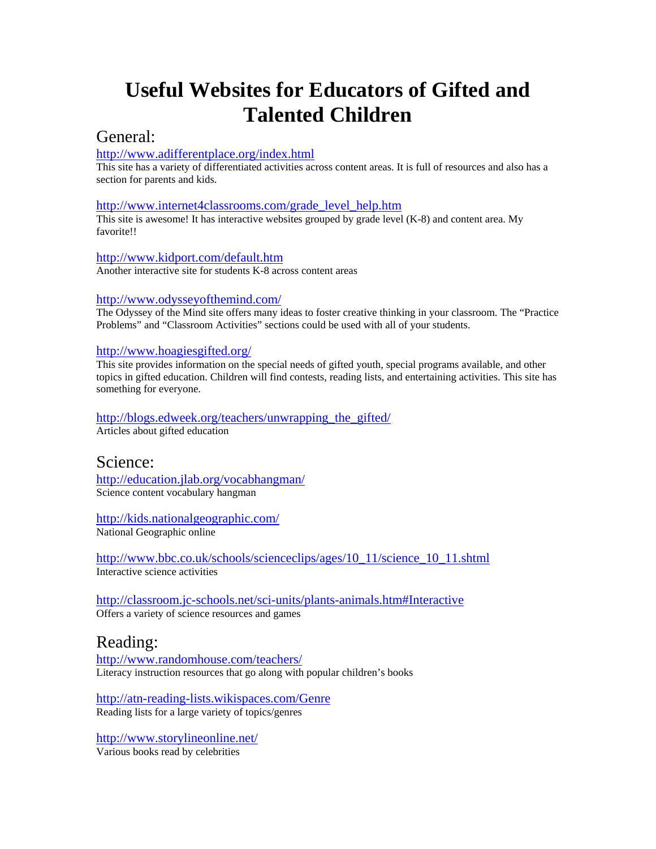# **Useful Websites for Educators of Gifted and Talented Children**

## General:

### <http://www.adifferentplace.org/index.html>

This site has a variety of differentiated activities across content areas. It is full of resources and also has a section for parents and kids.

#### [http://www.internet4classrooms.com/grade\\_level\\_help.htm](http://www.internet4classrooms.com/grade_level_help.htm)

This site is awesome! It has interactive websites grouped by grade level (K-8) and content area. My favorite!!

#### <http://www.kidport.com/default.htm>

Another interactive site for students K-8 across content areas

#### <http://www.odysseyofthemind.com/>

The Odyssey of the Mind site offers many ideas to foster creative thinking in your classroom. The "Practice Problems" and "Classroom Activities" sections could be used with all of your students.

#### <http://www.hoagiesgifted.org/>

This site provides information on the special needs of gifted youth, special programs available, and other topics in gifted education. Children will find contests, reading lists, and entertaining activities. This site has something for everyone.

#### [http://blogs.edweek.org/teachers/unwrapping\\_the\\_gifted/](http://blogs.edweek.org/teachers/unwrapping_the_gifted/) Articles about gifted education

## Science:

<http://education.jlab.org/vocabhangman/> Science content vocabulary hangman

<http://kids.nationalgeographic.com/> National Geographic online

[http://www.bbc.co.uk/schools/scienceclips/ages/10\\_11/science\\_10\\_11.shtml](http://www.bbc.co.uk/schools/scienceclips/ages/10_11/science_10_11.shtml) Interactive science activities

<http://classroom.jc-schools.net/sci-units/plants-animals.htm#Interactive> Offers a variety of science resources and games

## Reading:

<http://www.randomhouse.com/teachers/> Literacy instruction resources that go along with popular children's books

<http://atn-reading-lists.wikispaces.com/Genre> Reading lists for a large variety of topics/genres

<http://www.storylineonline.net/> Various books read by celebrities